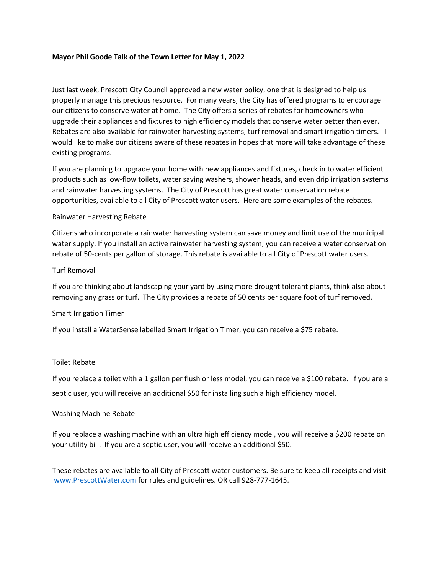## **Mayor Phil Goode Talk of the Town Letter for May 1, 2022**

Just last week, Prescott City Council approved a new water policy, one that is designed to help us properly manage this precious resource. For many years, the City has offered programs to encourage our citizens to conserve water at home. The City offers a series of rebates for homeowners who upgrade their appliances and fixtures to high efficiency models that conserve water better than ever. Rebates are also available for rainwater harvesting systems, turf removal and smart irrigation timers. I would like to make our citizens aware of these rebates in hopes that more will take advantage of these existing programs.

If you are planning to upgrade your home with new appliances and fixtures, check in to water efficient products such as low‐flow toilets, water saving washers, shower heads, and even drip irrigation systems and rainwater harvesting systems. The City of Prescott has great water conservation rebate opportunities, available to all City of Prescott water users. Here are some examples of the rebates.

### Rainwater Harvesting Rebate

Citizens who incorporate a rainwater harvesting system can save money and limit use of the municipal water supply. If you install an active rainwater harvesting system, you can receive a water conservation rebate of 50-cents per gallon of storage. This rebate is available to all City of Prescott water users.

## Turf Removal

If you are thinking about landscaping your yard by using more drought tolerant plants, think also about removing any grass or turf. The City provides a rebate of 50 cents per square foot of turf removed.

# Smart Irrigation Timer

If you install a WaterSense labelled Smart Irrigation Timer, you can receive a \$75 rebate.

### Toilet Rebate

If you replace a toilet with a 1 gallon per flush or less model, you can receive a \$100 rebate. If you are a septic user, you will receive an additional \$50 for installing such a high efficiency model.

### Washing Machine Rebate

If you replace a washing machine with an ultra high efficiency model, you will receive a \$200 rebate on your utility bill. If you are a septic user, you will receive an additional \$50.

These rebates are available to all City of Prescott water customers. Be sure to keep all receipts and visit www.PrescottWater.com for rules and guidelines. OR call 928-777-1645.